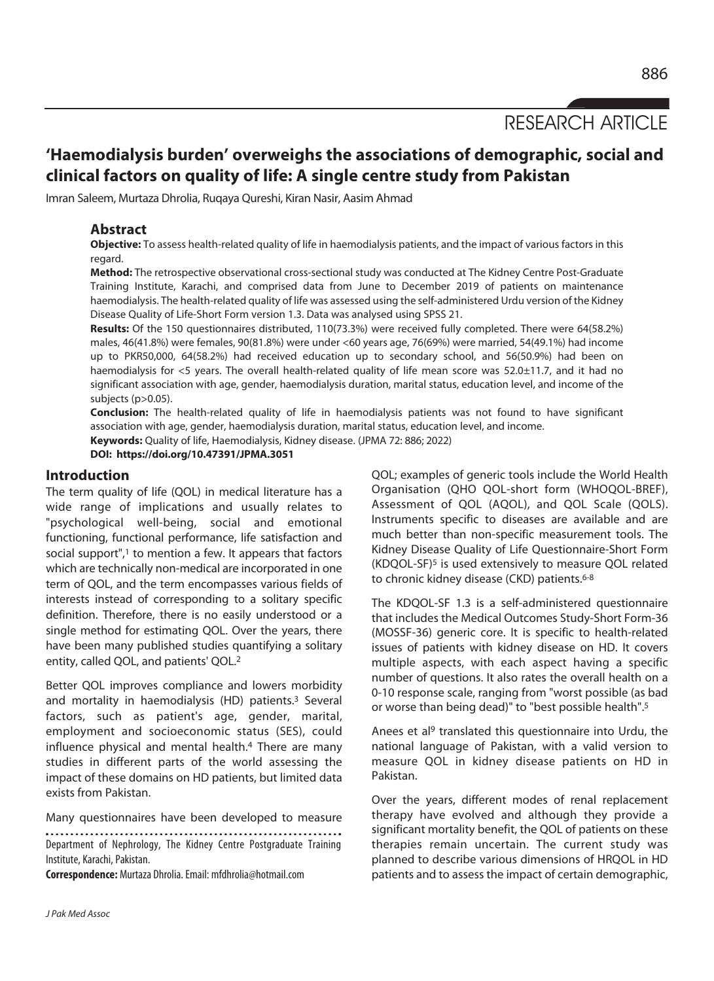RESEARCH ARTICLE

# **'Haemodialysis burden' overweighs the associations of demographic, social and clinical factors on quality of life: A single centre study from Pakistan**

Imran Saleem, Murtaza Dhrolia, Ruqaya Qureshi, Kiran Nasir, Aasim Ahmad

## **Abstract**

**Objective:** To assess health-related quality of life in haemodialysis patients, and the impact of various factors in this regard.

**Method:** The retrospective observational cross-sectional study was conducted at The Kidney Centre Post-Graduate Training Institute, Karachi, and comprised data from June to December 2019 of patients on maintenance haemodialysis. The health-related quality of life was assessed using the self-administered Urdu version of the Kidney Disease Quality of Life-Short Form version 1.3. Data was analysed using SPSS 21.

**Results:** Of the 150 questionnaires distributed, 110(73.3%) were received fully completed. There were 64(58.2%) males, 46(41.8%) were females, 90(81.8%) were under <60 years age, 76(69%) were married, 54(49.1%) had income up to PKR50,000, 64(58.2%) had received education up to secondary school, and 56(50.9%) had been on haemodialysis for <5 years. The overall health-related quality of life mean score was 52.0±11.7, and it had no significant association with age, gender, haemodialysis duration, marital status, education level, and income of the subjects (p>0.05).

**Conclusion:** The health-related quality of life in haemodialysis patients was not found to have significant association with age, gender, haemodialysis duration, marital status, education level, and income. **Keywords:** Quality of life, Haemodialysis, Kidney disease. (JPMA 72: 886; 2022)

**DOI: https://doi.org/10.47391/JPMA.3051** 

#### **Introduction**

The term quality of life (QOL) in medical literature has a wide range of implications and usually relates to "psychological well-being, social and emotional functioning, functional performance, life satisfaction and social support",<sup>1</sup> to mention a few. It appears that factors which are technically non-medical are incorporated in one term of QOL, and the term encompasses various fields of interests instead of corresponding to a solitary specific definition. Therefore, there is no easily understood or a single method for estimating QOL. Over the years, there have been many published studies quantifying a solitary entity, called QOL, and patients' QOL.2

Better QOL improves compliance and lowers morbidity and mortality in haemodialysis (HD) patients.<sup>3</sup> Several factors, such as patient's age, gender, marital, employment and socioeconomic status (SES), could influence physical and mental health.4 There are many studies in different parts of the world assessing the impact of these domains on HD patients, but limited data exists from Pakistan.

Many questionnaires have been developed to measure

Department of Nephrology, The Kidney Centre Postgraduate Training Institute, Karachi, Pakistan.

**Correspondence:** Murtaza Dhrolia. Email: mfdhrolia@hotmail.com

QOL; examples of generic tools include the World Health Organisation (QHO QOL-short form (WHOQOL-BREF), Assessment of QOL (AQOL), and QOL Scale (QOLS). Instruments specific to diseases are available and are much better than non-specific measurement tools. The Kidney Disease Quality of Life Questionnaire-Short Form (KDQOL-SF)5 is used extensively to measure QOL related to chronic kidney disease (CKD) patients.<sup>6-8</sup>

The KDQOL-SF 1.3 is a self-administered questionnaire that includes the Medical Outcomes Study-Short Form-36 (MOSSF-36) generic core. It is specific to health-related issues of patients with kidney disease on HD. It covers multiple aspects, with each aspect having a specific number of questions. It also rates the overall health on a 0-10 response scale, ranging from "worst possible (as bad or worse than being dead)" to "best possible health".5

Anees et al9 translated this questionnaire into Urdu, the national language of Pakistan, with a valid version to measure QOL in kidney disease patients on HD in Pakistan.

Over the years, different modes of renal replacement therapy have evolved and although they provide a significant mortality benefit, the QOL of patients on these therapies remain uncertain. The current study was planned to describe various dimensions of HRQOL in HD patients and to assess the impact of certain demographic,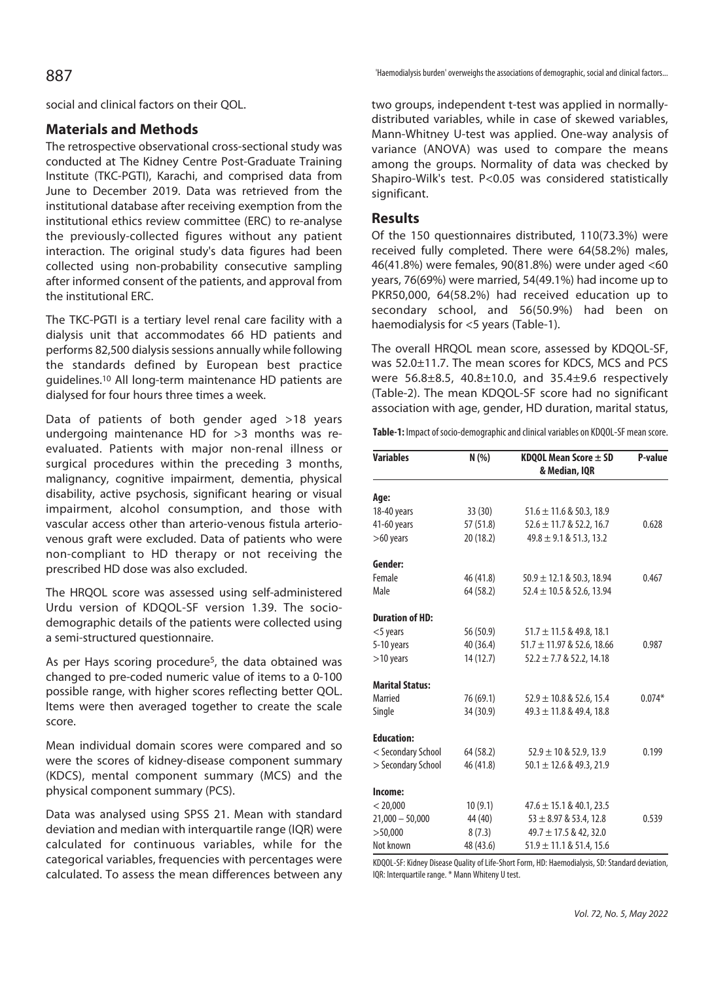social and clinical factors on their QOL.

# **Materials and Methods**

The retrospective observational cross-sectional study was conducted at The Kidney Centre Post-Graduate Training Institute (TKC-PGTI), Karachi, and comprised data from June to December 2019. Data was retrieved from the institutional database after receiving exemption from the institutional ethics review committee (ERC) to re-analyse the previously-collected figures without any patient interaction. The original study's data figures had been collected using non-probability consecutive sampling after informed consent of the patients, and approval from the institutional ERC.

The TKC-PGTI is a tertiary level renal care facility with a dialysis unit that accommodates 66 HD patients and performs 82,500 dialysis sessions annually while following the standards defined by European best practice guidelines.10 All long-term maintenance HD patients are dialysed for four hours three times a week.

Data of patients of both gender aged >18 years undergoing maintenance HD for >3 months was reevaluated. Patients with major non-renal illness or surgical procedures within the preceding 3 months, malignancy, cognitive impairment, dementia, physical disability, active psychosis, significant hearing or visual impairment, alcohol consumption, and those with vascular access other than arterio-venous fistula arteriovenous graft were excluded. Data of patients who were non-compliant to HD therapy or not receiving the prescribed HD dose was also excluded.

The HRQOL score was assessed using self-administered Urdu version of KDQOL-SF version 1.39. The sociodemographic details of the patients were collected using a semi-structured questionnaire.

As per Hays scoring procedure<sup>5</sup>, the data obtained was changed to pre-coded numeric value of items to a 0-100 possible range, with higher scores reflecting better QOL. Items were then averaged together to create the scale score.

Mean individual domain scores were compared and so were the scores of kidney-disease component summary (KDCS), mental component summary (MCS) and the physical component summary (PCS).

Data was analysed using SPSS 21. Mean with standard deviation and median with interquartile range (IQR) were calculated for continuous variables, while for the categorical variables, frequencies with percentages were calculated. To assess the mean differences between any

'Haemodialysis burden' overweighs the associations of demographic, social and clinical factors... 887

two groups, independent t-test was applied in normallydistributed variables, while in case of skewed variables, Mann-Whitney U-test was applied. One-way analysis of variance (ANOVA) was used to compare the means among the groups. Normality of data was checked by Shapiro-Wilk's test. P<0.05 was considered statistically significant.

## **Results**

Of the 150 questionnaires distributed, 110(73.3%) were received fully completed. There were 64(58.2%) males, 46(41.8%) were females, 90(81.8%) were under aged <60 years, 76(69%) were married, 54(49.1%) had income up to PKR50,000, 64(58.2%) had received education up to secondary school, and 56(50.9%) had been on haemodialysis for <5 years (Table-1).

The overall HRQOL mean score, assessed by KDQOL-SF, was 52.0±11.7. The mean scores for KDCS, MCS and PCS were 56.8±8.5, 40.8±10.0, and 35.4±9.6 respectively (Table-2). The mean KDQOL-SF score had no significant association with age, gender, HD duration, marital status,

**Table-1:** Impact of socio-demographic and clinical variables on KDQOL-SF mean score.

| <b>Variables</b>       | N(% )     | KDQOL Mean Score ± SD<br>& Median, IQR | P-value  |  |
|------------------------|-----------|----------------------------------------|----------|--|
| Age:                   |           |                                        |          |  |
| 18-40 years            | 33(30)    | $51.6 \pm 11.6$ & 50.3, 18.9           |          |  |
| 41-60 years            | 57 (51.8) | $52.6 \pm 11.7$ & 52.2, 16.7           | 0.628    |  |
| $>60$ years            | 20 (18.2) | $49.8 \pm 9.1 \& 51.3, 13.2$           |          |  |
| Gender:                |           |                                        |          |  |
| Female                 | 46 (41.8) | $50.9 \pm 12.1 \& 50.3, 18.94$         | 0.467    |  |
| Male                   | 64 (58.2) | $52.4 \pm 10.5$ & 52.6, 13.94          |          |  |
| <b>Duration of HD:</b> |           |                                        |          |  |
| $<$ 5 years            | 56 (50.9) | $51.7 \pm 11.5$ & 49.8, 18.1           |          |  |
| 5-10 years             | 40 (36.4) | $51.7 \pm 11.97$ & 52.6, 18.66         | 0.987    |  |
| $>10$ years            | 14(12.7)  | $52.2 \pm 7.7$ & 52.2, 14.18           |          |  |
| <b>Marital Status:</b> |           |                                        |          |  |
| Married                | 76 (69.1) | $52.9 \pm 10.8$ & 52.6, 15.4           | $0.074*$ |  |
| Single                 | 34 (30.9) | $49.3 \pm 11.8$ & 49.4, 18.8           |          |  |
| <b>Education:</b>      |           |                                        |          |  |
| < Secondary School     | 64 (58.2) | $52.9 \pm 10$ & 52.9, 13.9             | 0.199    |  |
| > Secondary School     | 46 (41.8) | $50.1 \pm 12.6$ & 49.3, 21.9           |          |  |
| Income:                |           |                                        |          |  |
| < 20,000               | 10(9.1)   | $47.6 \pm 15.1 \& 40.1, 23.5$          |          |  |
| $21,000 - 50,000$      | 44 (40)   | $53 \pm 8.97$ & 53.4, 12.8             | 0.539    |  |
| >50,000                | 8(7.3)    | $49.7 \pm 17.5$ & 42, 32.0             |          |  |
| Not known              | 48 (43.6) | $51.9 \pm 11.1 \& 51.4, 15.6$          |          |  |

KDQOL-SF: Kidney Disease Quality of Life-Short Form, HD: Haemodialysis, SD: Standard deviation, IQR: Interquartile range. \* Mann Whiteny U test.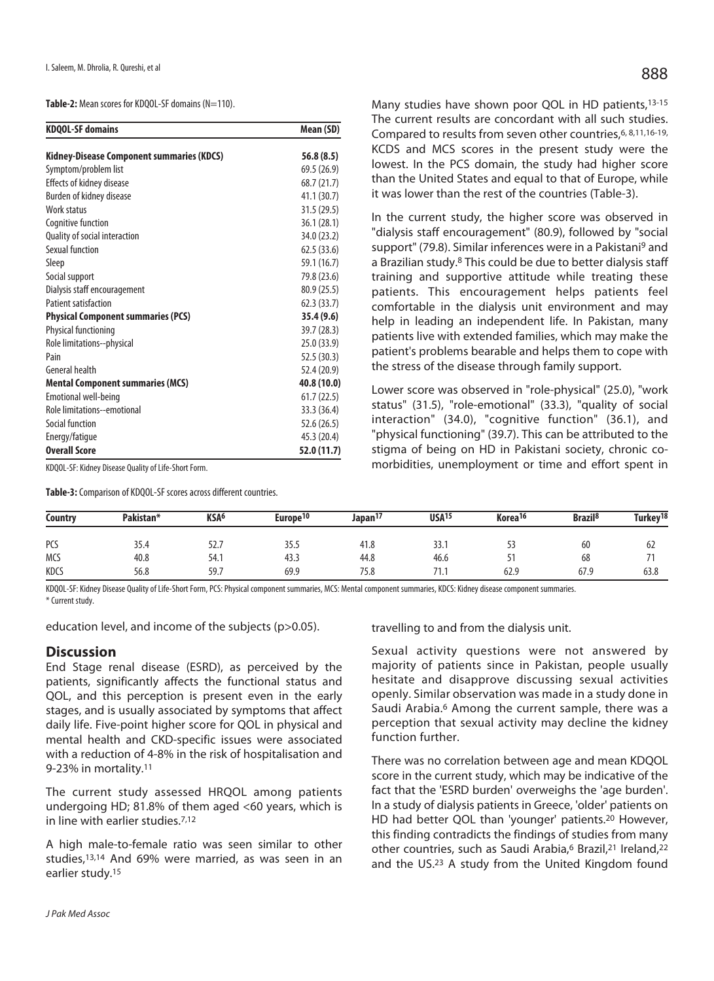Table-2: Mean scores for KDQOL-SF domains (N=110).

| <b>KDQOL-SF domains</b>                   | Mean (SD)   |  |  |
|-------------------------------------------|-------------|--|--|
| Kidney-Disease Component summaries (KDCS) | 56.8(8.5)   |  |  |
| Symptom/problem list                      | 69.5 (26.9) |  |  |
| <b>Effects of kidney disease</b>          | 68.7 (21.7) |  |  |
| Burden of kidney disease                  | 41.1 (30.7) |  |  |
| Work status                               | 31.5(29.5)  |  |  |
| Cognitive function                        | 36.1(28.1)  |  |  |
| Quality of social interaction             | 34.0 (23.2) |  |  |
| Sexual function                           | 62.5(33.6)  |  |  |
| Sleep                                     | 59.1 (16.7) |  |  |
| Social support                            | 79.8 (23.6) |  |  |
| Dialysis staff encouragement              | 80.9 (25.5) |  |  |
| Patient satisfaction                      | 62.3(33.7)  |  |  |
| <b>Physical Component summaries (PCS)</b> | 35.4 (9.6)  |  |  |
| Physical functioning                      | 39.7 (28.3) |  |  |
| Role limitations--physical                | 25.0 (33.9) |  |  |
| Pain                                      | 52.5 (30.3) |  |  |
| General health                            | 52.4 (20.9) |  |  |
| <b>Mental Component summaries (MCS)</b>   | 40.8 (10.0) |  |  |
| Emotional well-being                      | 61.7(22.5)  |  |  |
| Role limitations--emotional               | 33.3 (36.4) |  |  |
| Social function                           | 52.6 (26.5) |  |  |
| Energy/fatique                            | 45.3 (20.4) |  |  |
| <b>Overall Score</b>                      | 52.0 (11.7) |  |  |

KDQOL-SF: Kidney Disease Quality of Life-Short Form.

**Table-3:** Comparison of KDQOL-SF scores across different countries.

Many studies have shown poor QOL in HD patients, 13-15 The current results are concordant with all such studies. Compared to results from seven other countries, 6, 8, 11, 16-19, KCDS and MCS scores in the present study were the lowest. In the PCS domain, the study had higher score than the United States and equal to that of Europe, while it was lower than the rest of the countries (Table-3).

In the current study, the higher score was observed in "dialysis staff encouragement" (80.9), followed by "social support" (79.8). Similar inferences were in a Pakistani9 and a Brazilian study.8 This could be due to better dialysis staff training and supportive attitude while treating these patients. This encouragement helps patients feel comfortable in the dialysis unit environment and may help in leading an independent life. In Pakistan, many patients live with extended families, which may make the patient's problems bearable and helps them to cope with the stress of the disease through family support.

Lower score was observed in "role-physical" (25.0), "work status" (31.5), "role-emotional" (33.3), "quality of social interaction" (34.0), "cognitive function" (36.1), and "physical functioning" (39.7). This can be attributed to the stigma of being on HD in Pakistani society, chronic comorbidities, unemployment or time and effort spent in

| <b>Country</b> | Pakistan* | KSA <sup>6</sup> | Europe <sup>10</sup> | Japan <sup>17</sup> | USA <sup>15</sup> | Korea <sup>16</sup> | <b>Brazil</b> <sup>8</sup> | Turkey <sup>18</sup> |
|----------------|-----------|------------------|----------------------|---------------------|-------------------|---------------------|----------------------------|----------------------|
| PCS            | 35.4      | 52.7             | 35.5                 | 41.8                | 33.1              | ر ر                 | 60                         | -62                  |
| <b>MCS</b>     | 40.8      | 54.1             | 43.3                 | 44.8                | 46.6              | ╯                   | 68                         |                      |
| KDCS           | 56.8      | 59.7             | 69.9                 | 75.8                | .                 | 62.9                | 67.9                       | 63.8                 |

KDQOL-SF: Kidney Disease Quality of Life-Short Form, PCS: Physical component summaries, MCS: Mental component summaries, KDCS: Kidney disease component summaries. \* Current study.

education level, and income of the subjects (p>0.05).

#### **Discussion**

End Stage renal disease (ESRD), as perceived by the patients, significantly affects the functional status and QOL, and this perception is present even in the early stages, and is usually associated by symptoms that affect daily life. Five-point higher score for QOL in physical and mental health and CKD-specific issues were associated with a reduction of 4-8% in the risk of hospitalisation and 9-23% in mortality.11

The current study assessed HRQOL among patients undergoing HD; 81.8% of them aged <60 years, which is in line with earlier studies.7,12

A high male-to-female ratio was seen similar to other studies,13,14 And 69% were married, as was seen in an earlier study.15

travelling to and from the dialysis unit.

Sexual activity questions were not answered by majority of patients since in Pakistan, people usually hesitate and disapprove discussing sexual activities openly. Similar observation was made in a study done in Saudi Arabia.<sup>6</sup> Among the current sample, there was a perception that sexual activity may decline the kidney function further.

There was no correlation between age and mean KDQOL score in the current study, which may be indicative of the fact that the 'ESRD burden' overweighs the 'age burden'. In a study of dialysis patients in Greece, 'older' patients on HD had better QOL than 'younger' patients.20 However, this finding contradicts the findings of studies from many other countries, such as Saudi Arabia,<sup>6</sup> Brazil,<sup>21</sup> Ireland,<sup>22</sup> and the US.23 A study from the United Kingdom found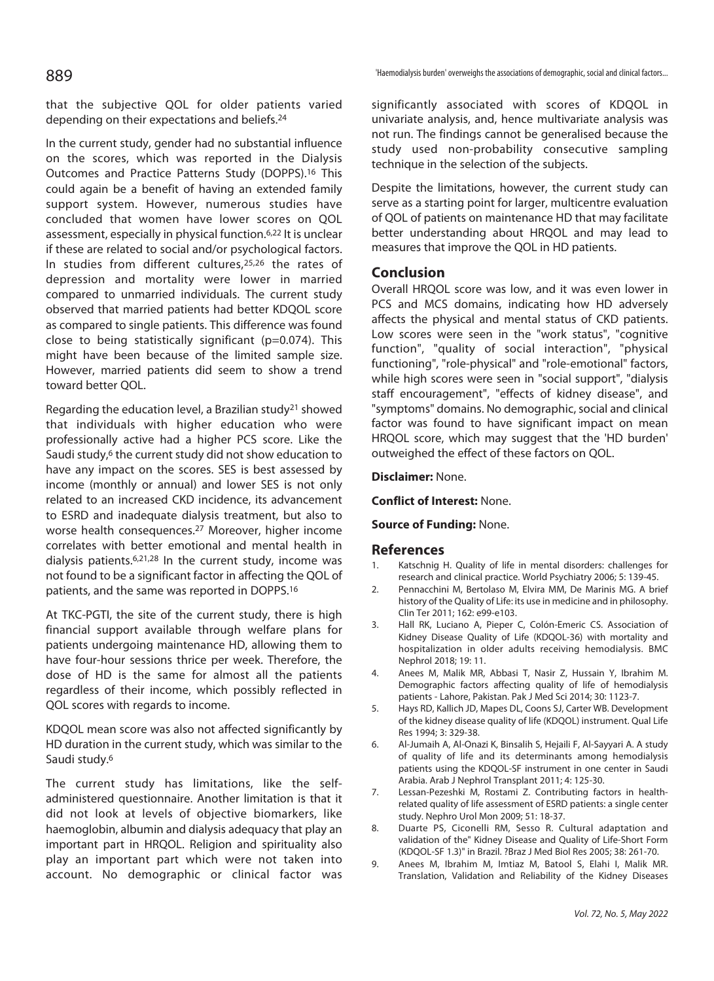that the subjective QOL for older patients varied depending on their expectations and beliefs.24

In the current study, gender had no substantial influence on the scores, which was reported in the Dialysis Outcomes and Practice Patterns Study (DOPPS).16 This could again be a benefit of having an extended family support system. However, numerous studies have concluded that women have lower scores on QOL assessment, especially in physical function.6,22 It is unclear if these are related to social and/or psychological factors. In studies from different cultures,<sup>25,26</sup> the rates of depression and mortality were lower in married compared to unmarried individuals. The current study observed that married patients had better KDQOL score as compared to single patients. This difference was found close to being statistically significant (p=0.074). This might have been because of the limited sample size. However, married patients did seem to show a trend toward better QOL.

Regarding the education level, a Brazilian study21 showed that individuals with higher education who were professionally active had a higher PCS score. Like the Saudi study,<sup>6</sup> the current study did not show education to have any impact on the scores. SES is best assessed by income (monthly or annual) and lower SES is not only related to an increased CKD incidence, its advancement to ESRD and inadequate dialysis treatment, but also to worse health consequences.27 Moreover, higher income correlates with better emotional and mental health in dialysis patients.6,21,28 In the current study, income was not found to be a significant factor in affecting the QOL of patients, and the same was reported in DOPPS.16

At TKC-PGTI, the site of the current study, there is high financial support available through welfare plans for patients undergoing maintenance HD, allowing them to have four-hour sessions thrice per week. Therefore, the dose of HD is the same for almost all the patients regardless of their income, which possibly reflected in QOL scores with regards to income.

KDQOL mean score was also not affected significantly by HD duration in the current study, which was similar to the Saudi study.6

The current study has limitations, like the selfadministered questionnaire. Another limitation is that it did not look at levels of objective biomarkers, like haemoglobin, albumin and dialysis adequacy that play an important part in HRQOL. Religion and spirituality also play an important part which were not taken into account. No demographic or clinical factor was

significantly associated with scores of KDQOL in univariate analysis, and, hence multivariate analysis was not run. The findings cannot be generalised because the study used non-probability consecutive sampling technique in the selection of the subjects.

Despite the limitations, however, the current study can serve as a starting point for larger, multicentre evaluation of QOL of patients on maintenance HD that may facilitate better understanding about HRQOL and may lead to measures that improve the QOL in HD patients.

## **Conclusion**

Overall HRQOL score was low, and it was even lower in PCS and MCS domains, indicating how HD adversely affects the physical and mental status of CKD patients. Low scores were seen in the "work status", "cognitive function", "quality of social interaction", "physical functioning", "role-physical" and "role-emotional" factors, while high scores were seen in "social support", "dialysis staff encouragement", "effects of kidney disease", and "symptoms" domains. No demographic, social and clinical factor was found to have significant impact on mean HRQOL score, which may suggest that the 'HD burden' outweighed the effect of these factors on QOL.

#### **Disclaimer:** None.

**Conflict of Interest:** None.

#### **Source of Funding:** None.

#### **References**

- 1. Katschnig H. Quality of life in mental disorders: challenges for research and clinical practice. World Psychiatry 2006; 5: 139-45.
- 2. Pennacchini M, Bertolaso M, Elvira MM, De Marinis MG. A brief history of the Quality of Life: its use in medicine and in philosophy. Clin Ter 2011; 162: e99-e103.
- 3. Hall RK, Luciano A, Pieper C, Colón-Emeric CS. Association of Kidney Disease Quality of Life (KDQOL-36) with mortality and hospitalization in older adults receiving hemodialysis. BMC Nephrol 2018; 19: 11.
- 4. Anees M, Malik MR, Abbasi T, Nasir Z, Hussain Y, Ibrahim M. Demographic factors affecting quality of life of hemodialysis patients - Lahore, Pakistan. Pak J Med Sci 2014; 30: 1123-7.
- 5. Hays RD, Kallich JD, Mapes DL, Coons SJ, Carter WB. Development of the kidney disease quality of life (KDQOL) instrument. Qual Life Res 1994; 3: 329-38.
- 6. Al-Jumaih A, Al-Onazi K, Binsalih S, Hejaili F, Al-Sayyari A. A study of quality of life and its determinants among hemodialysis patients using the KDQOL-SF instrument in one center in Saudi Arabia. Arab J Nephrol Transplant 2011; 4: 125-30.
- 7. Lessan-Pezeshki M, Rostami Z. Contributing factors in healthrelated quality of life assessment of ESRD patients: a single center study. Nephro Urol Mon 2009; 51: 18-37.
- 8. Duarte PS, Ciconelli RM, Sesso R. Cultural adaptation and validation of the" Kidney Disease and Quality of Life-Short Form (KDQOL-SF 1.3)" in Brazil. ?Braz J Med Biol Res 2005; 38: 261-70.
- 9. Anees M, Ibrahim M, Imtiaz M, Batool S, Elahi I, Malik MR. Translation, Validation and Reliability of the Kidney Diseases